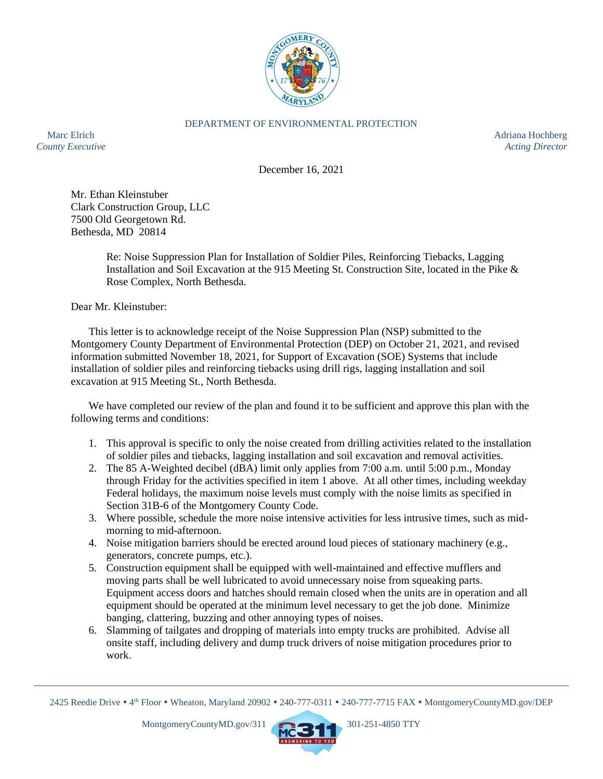

## DEPARTMENT OF ENVIRONMENTAL PROTECTION

Marc Elrich Adriana Hochberg and the Adriana Hochberg and the Adriana Hochberg and the Adriana Hochberg and the Adriana Hochberg and the Adriana Hochberg and the Adriana Hochberg and the Adriana Hochberg and the Adriana Ho *County Executive Acting Director*

December 16, 2021

Mr. Ethan Kleinstuber Clark Construction Group, LLC 7500 Old Georgetown Rd. Bethesda, MD 20814

> Re: Noise Suppression Plan for Installation of Soldier Piles, Reinforcing Tiebacks, Lagging Installation and Soil Excavation at the 915 Meeting St. Construction Site, located in the Pike & Rose Complex, North Bethesda.

Dear Mr. Kleinstuber:

This letter is to acknowledge receipt of the Noise Suppression Plan (NSP) submitted to the Montgomery County Department of Environmental Protection (DEP) on October 21, 2021, and revised information submitted November 18, 2021, for Support of Excavation (SOE) Systems that include installation of soldier piles and reinforcing tiebacks using drill rigs, lagging installation and soil excavation at 915 Meeting St., North Bethesda.

We have completed our review of the plan and found it to be sufficient and approve this plan with the following terms and conditions:

- 1. This approval is specific to only the noise created from drilling activities related to the installation of soldier piles and tiebacks, lagging installation and soil excavation and removal activities.
- 2. The 85 A-Weighted decibel (dBA) limit only applies from 7:00 a.m. until 5:00 p.m., Monday through Friday for the activities specified in item 1 above. At all other times, including weekday Federal holidays, the maximum noise levels must comply with the noise limits as specified in Section 31B-6 of the Montgomery County Code.
- 3. Where possible, schedule the more noise intensive activities for less intrusive times, such as midmorning to mid-afternoon.
- 4. Noise mitigation barriers should be erected around loud pieces of stationary machinery (e.g., generators, concrete pumps, etc.).
- 5. Construction equipment shall be equipped with well-maintained and effective mufflers and moving parts shall be well lubricated to avoid unnecessary noise from squeaking parts. Equipment access doors and hatches should remain closed when the units are in operation and all equipment should be operated at the minimum level necessary to get the job done. Minimize banging, clattering, buzzing and other annoying types of noises.
- 6. Slamming of tailgates and dropping of materials into empty trucks are prohibited. Advise all onsite staff, including delivery and dump truck drivers of noise mitigation procedures prior to work.



<sup>2425</sup> Reedie Drive • 4<sup>th</sup> Floor • Wheaton, Maryland 20902 • 240-777-0311 • 240-777-7715 FAX • MontgomeryCountyMD.gov/DEP